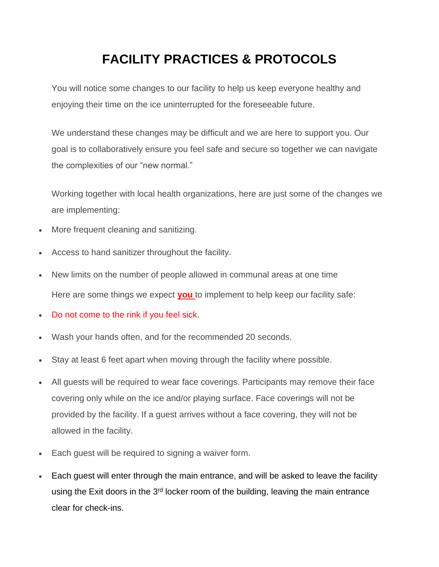## **FACILITY PRACTICES & PROTOCOLS**

You will notice some changes to our facility to help us keep everyone healthy and enjoying their time on the ice uninterrupted for the foreseeable future.

We understand these changes may be difficult and we are here to support you. Our goal is to collaboratively ensure you feel safe and secure so together we can navigate the complexities of our "new normal."

Working together with local health organizations, here are just some of the changes we are implementing:

- More frequent cleaning and sanitizing.
- Access to hand sanitizer throughout the facility.
- New limits on the number of people allowed in communal areas at one time Here are some things we expect **you** to implement to help keep our facility safe:
- Do not come to the rink if you feel sick.
- Wash your hands often, and for the recommended 20 seconds.
- Stay at least 6 feet apart when moving through the facility where possible.
- All guests will be required to wear face coverings. Participants may remove their face covering only while on the ice and/or playing surface. Face coverings will not be provided by the facility. If a guest arrives without a face covering, they will not be allowed in the facility.
- Each quest will be required to signing a waiver form.
- Each guest will enter through the main entrance, and will be asked to leave the facility using the Exit doors in the  $3<sup>rd</sup>$  locker room of the building, leaving the main entrance clear for check-ins.